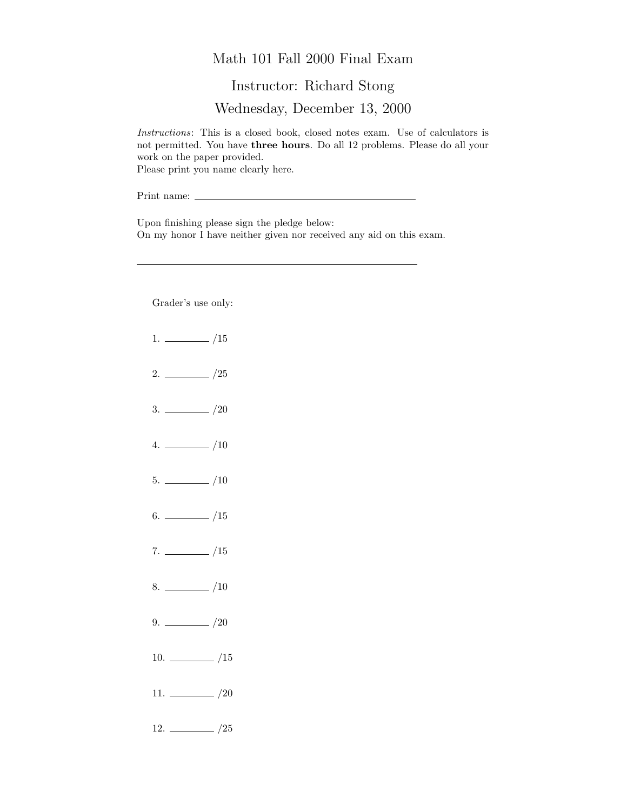## Math 101 Fall 2000 Final Exam

## Instructor: Richard Stong

Wednesday, December 13, 2000

Instructions: This is a closed book, closed notes exam. Use of calculators is not permitted. You have three hours. Do all 12 problems. Please do all your work on the paper provided. Please print you name clearly here.

Print name:

Upon finishing please sign the pledge below: On my honor I have neither given nor received any aid on this exam.

Grader's use only:

- $1. \ \_ \ \_ \ \_/15$
- $2. \ \frac{\ }{\ }$  /25
- $3. \ \_/20$
- $4. \ \_ 10$
- $5. \ \_$ /10
- $6.$  /15
- $7. \ \_ \ \_ \ /15$
- $8.$  /10
- $9. \ \_ \ \_ \ /20$
- 10.  $\frac{10}{25}$
- 11.  $\frac{1}{20}$
- $12. \ \_ 25$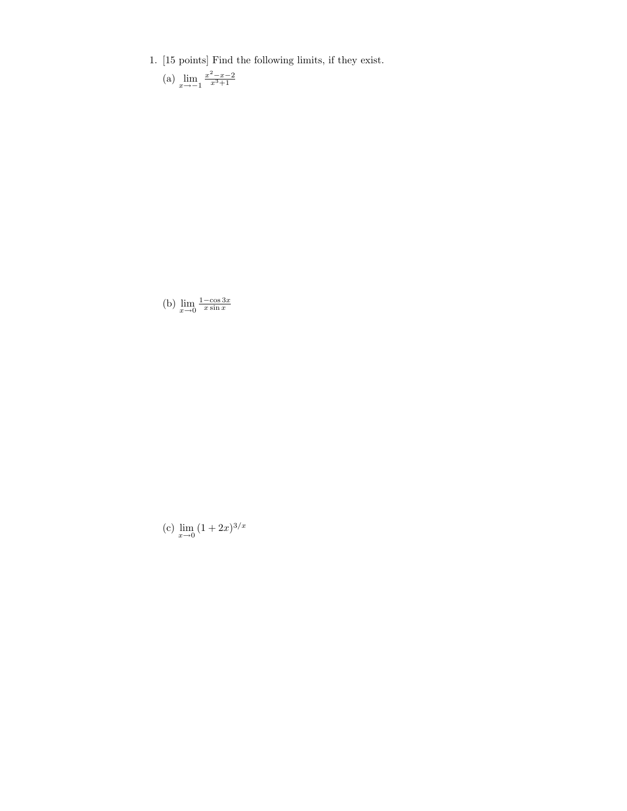- 1. [15 points] Find the following limits, if they exist.
	- (a)  $\lim_{x \to -1} \frac{x^2 x 2}{x^3 + 1}$

(b)  $\lim_{x \to 0} \frac{1-\cos 3x}{x \sin x}$ 

(c)  $\lim_{x \to 0} (1 + 2x)^{3/x}$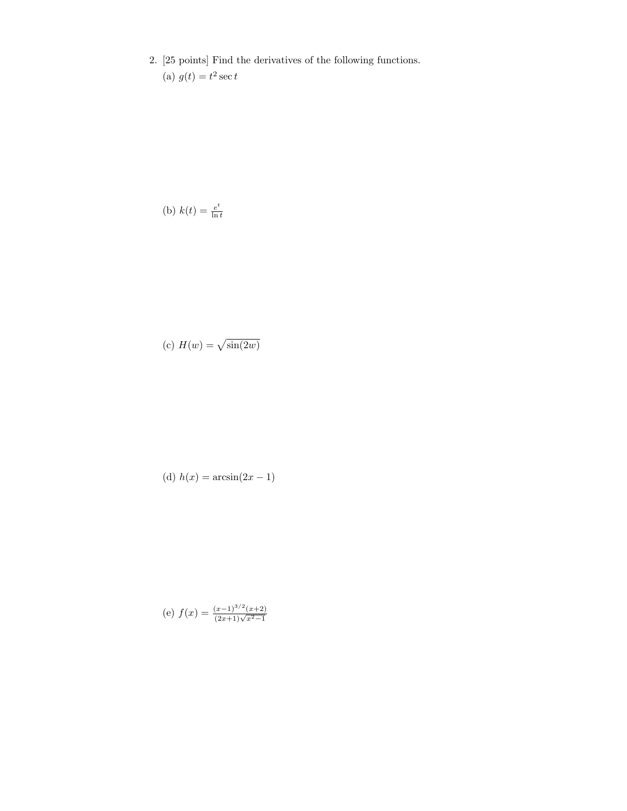2. [25 points] Find the derivatives of the following functions. (a)  $g(t) = t^2 \sec t$ 

(b) 
$$
k(t) = \frac{e^t}{\ln t}
$$

(c) 
$$
H(w) = \sqrt{\sin(2w)}
$$

(d) 
$$
h(x) = \arcsin(2x - 1)
$$

(e) 
$$
f(x) = \frac{(x-1)^{3/2}(x+2)}{(2x+1)\sqrt{x^2-1}}
$$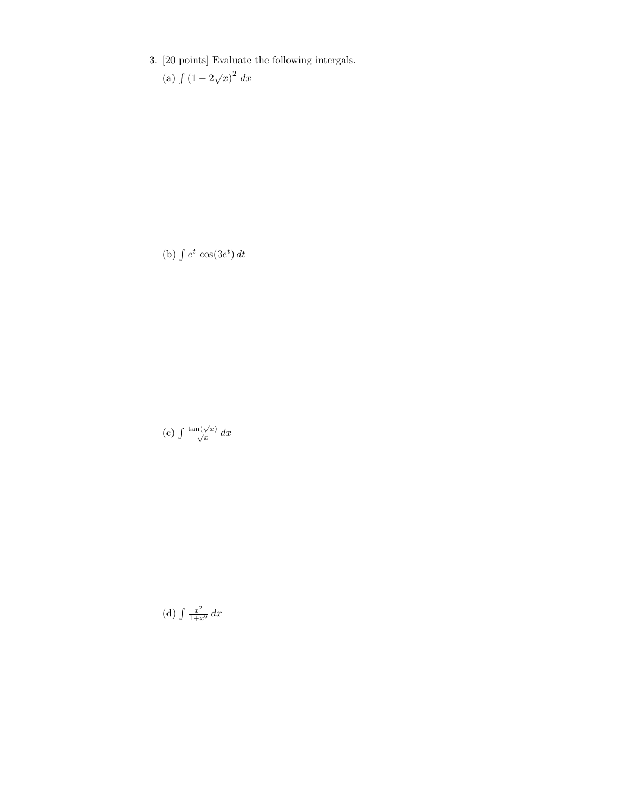3. [20 points] Evaluate the following intergals.

(a)  $\int (1 - 2\sqrt{x})^2 dx$ 

(b)  $\int e^t \cos(3e^t) dt$ 

(c)  $\int \frac{\tan(\sqrt{x})}{\sqrt{x}} dx$ 

(d)  $\int \frac{x^2}{1+x^6} dx$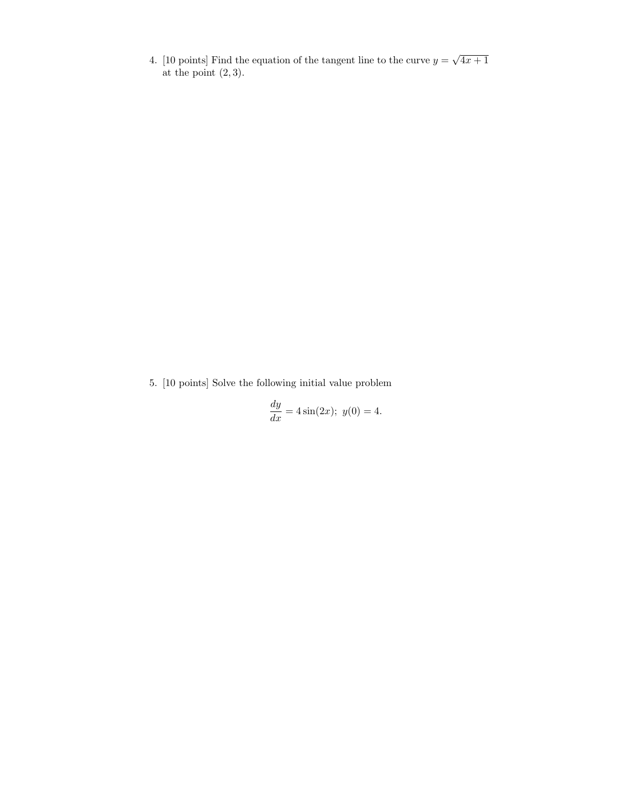4. [10 points] Find the equation of the tangent line to the curve  $y = \sqrt{4x+1}$ at the point  $(2, 3)$ .

5. [10 points] Solve the following initial value problem

$$
\frac{dy}{dx} = 4\sin(2x); \ y(0) = 4.
$$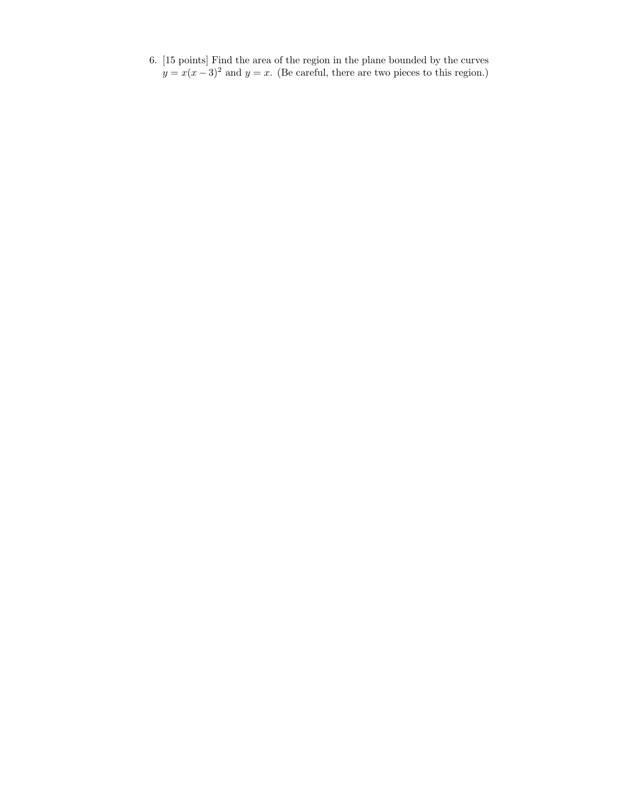6. [15 points] Find the area of the region in the plane bounded by the curves  $y = x(x-3)^2$  and  $y = x$ . (Be careful, there are two pieces to this region.)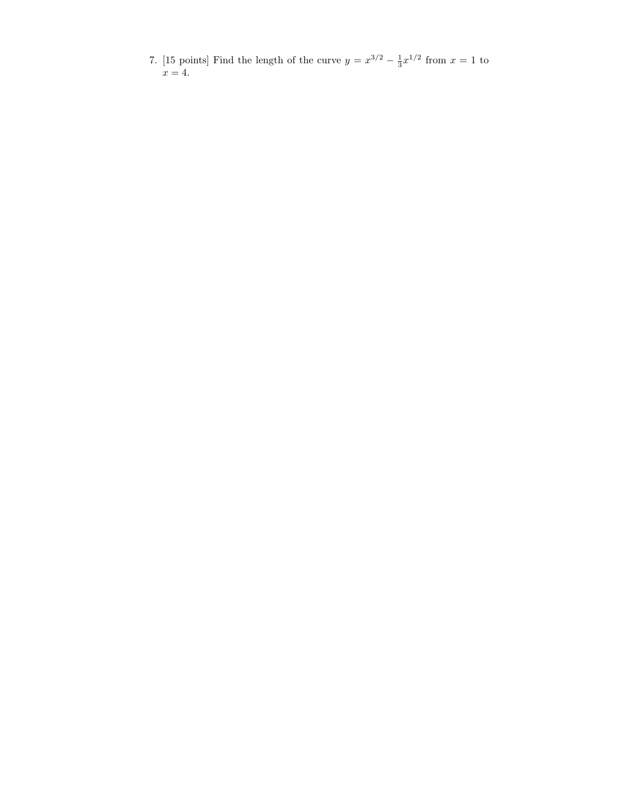7. [15 points] Find the length of the curve  $y = x^{3/2} - \frac{1}{3}x^{1/2}$  from  $x = 1$  to  $x=4$ .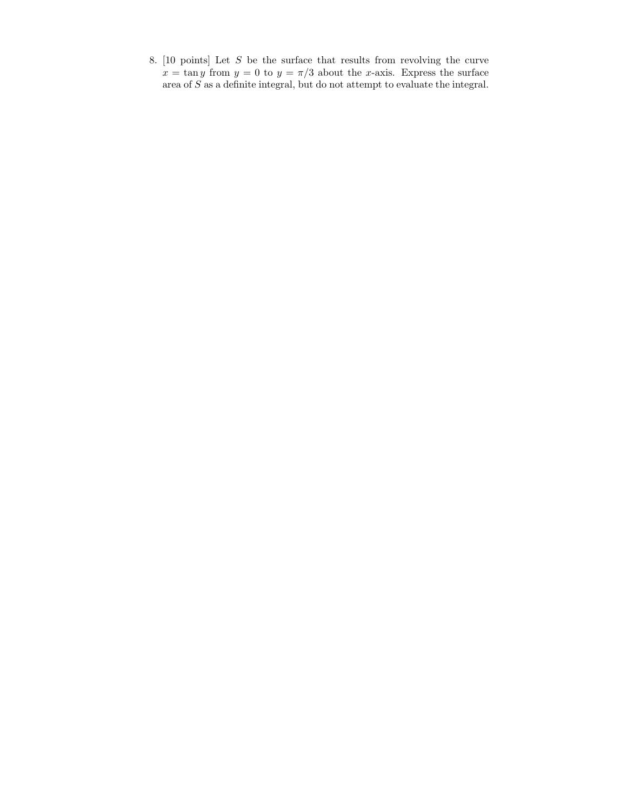8. [10 points] Let S be the surface that results from revolving the curve  $x = \tan y$  from  $y = 0$  to  $y = \pi/3$  about the x-axis. Express the surface area of  $S$  as a definite integral, but do not attempt to evaluate the integral.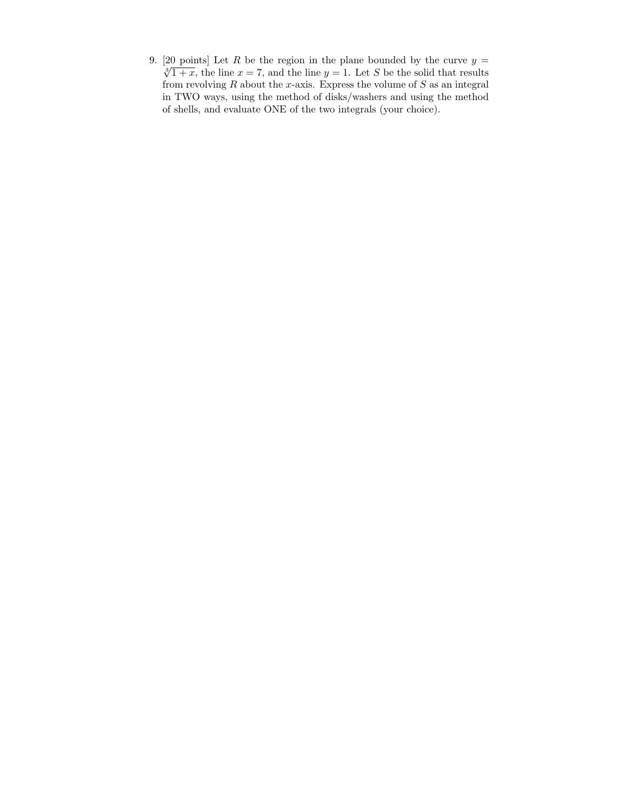9. [20 points] Let R be the region in the plane bounded by the curve  $y =$  $\sqrt[3]{1+x}$ , the line  $x = 7$ , and the line  $y = 1$ . Let S be the solid that results from revolving  $R$  about the  $x$ -axis. Express the volume of  $S$  as an integral in TWO ways, using the method of disks/washers and using the method of shells, and evaluate ONE of the two integrals (your choice).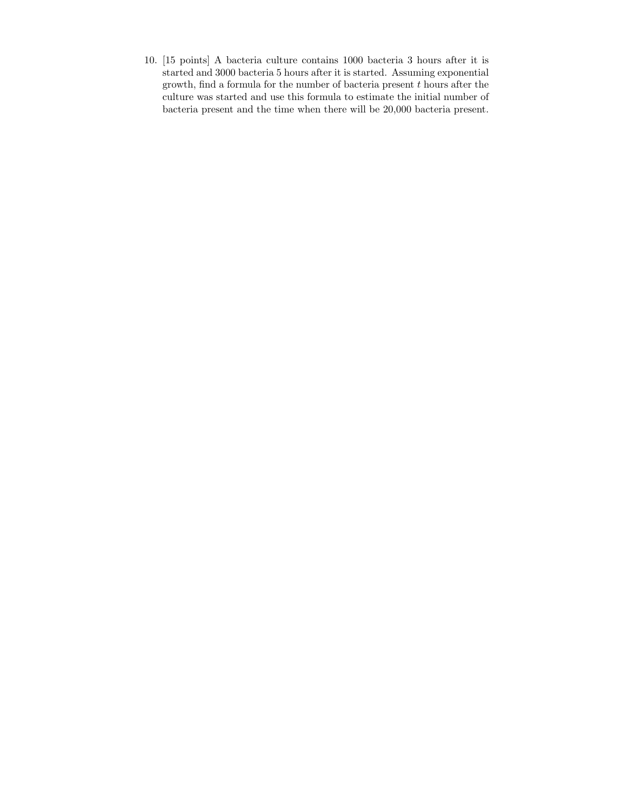10. [15 points] A bacteria culture contains 1000 bacteria 3 hours after it is started and 3000 bacteria 5 hours after it is started. Assuming exponential growth, find a formula for the number of bacteria present  $t$  hours after the culture was started and use this formula to estimate the initial number of bacteria present and the time when there will be 20,000 bacteria present.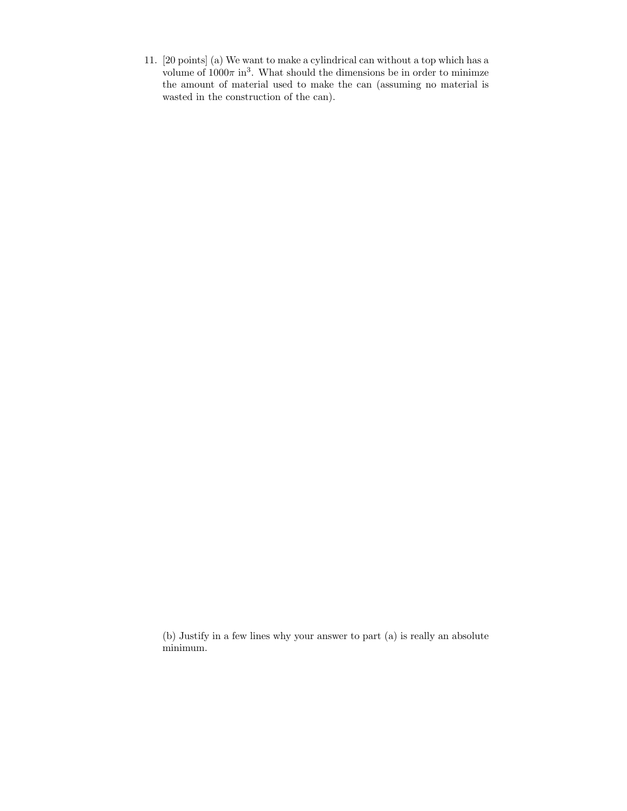11. [20 points] (a) We want to make a cylindrical can without a top which has a volume of  $1000\pi$  in<sup>3</sup>. What should the dimensions be in order to minimze the amount of material used to make the can (assuming no material is wasted in the construction of the can).

(b) Justify in a few lines why your answer to part (a) is really an absolute minimum.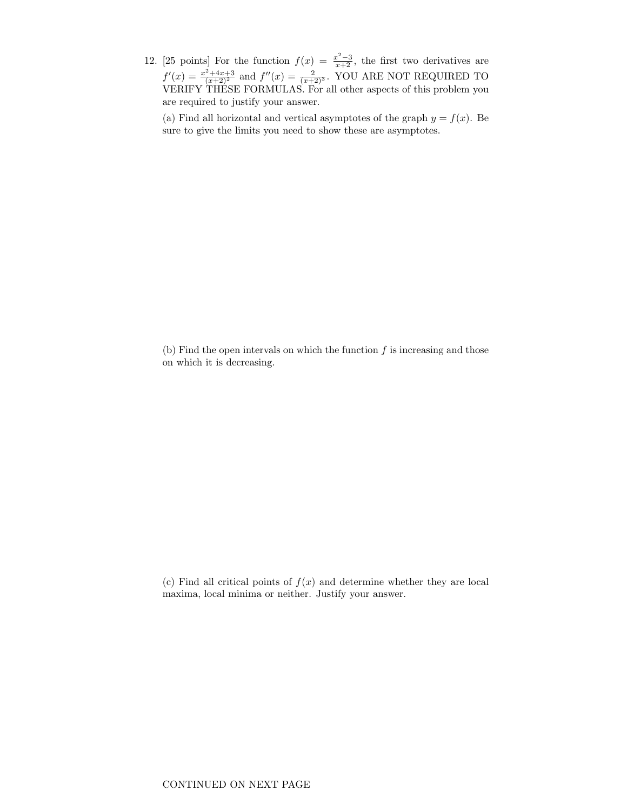12. [25 points] For the function  $f(x) = \frac{x^2-3}{x+2}$ , the first two derivatives are  $f'(x) = \frac{x^2 + 4x + 3}{(x+2)^2}$  and  $f''(x) = \frac{2}{(x+2)^3}$ . YOU ARE NOT REQUIRED TO VERIFY THESE FORMULAS. For all other aspects of this problem you are required to justify your answer.

(a) Find all horizontal and vertical asymptotes of the graph  $y = f(x)$ . Be sure to give the limits you need to show these are asymptotes.

(b) Find the open intervals on which the function  $f$  is increasing and those on which it is decreasing.

(c) Find all critical points of  $f(x)$  and determine whether they are local maxima, local minima or neither. Justify your answer.